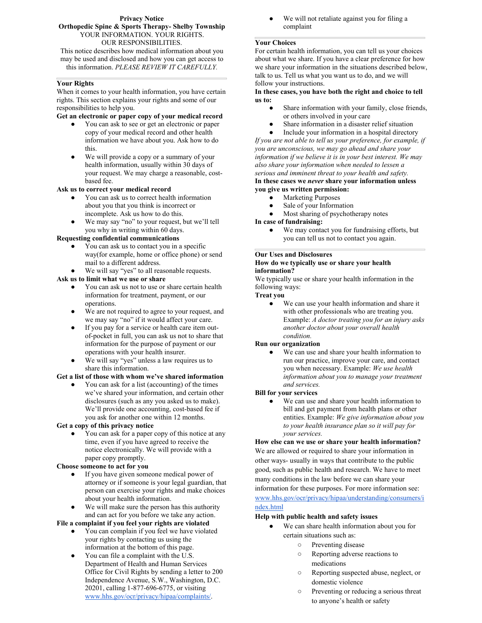#### **Privacy Notice Orthopedic Spine & Sports Therapy- Shelby Township** YOUR INFORMATION. YOUR RIGHTS. OUR RESPONSIBILITIES.

This notice describes how medical information about you may be used and disclosed and how you can get access to this information. *PLEASE REVIEW IT CAREFULLY.*

#### **Your Rights**

When it comes to your health information, you have certain rights. This section explains your rights and some of our responsibilities to help you.

#### **Get an electronic or paper copy of your medical record**

- You can ask to see or get an electronic or paper copy of your medical record and other health  $\bullet$ information we have about you. Ask how to do this.
- We will provide a copy or a summary of your<br>health information, usually within 30 days of your request. We may charge a reasonable, cost based fee.

#### **Ask us to correct your medical record**

- You can ask us to correct health information  $\bullet$ about you that you think is incorrect or incomplete. Ask us how to do this.
- We may say "no" to your request, but we'll tell you why in writing within 60 days.

#### **Requesting confidential communications**

- You can ask us to contact you in a specific way(for example, home or office phone) or send mail to a different address.
- We will say "yes" to all reasonable requests.

# **Ask us to limit what we use or share**

- You can ask us not to use or share certain health information for treatment, payment, or our operations.
- We are not required to agree to your request, and we may say "no" if it would affect your care.
- If you pay for a service or health care item outof-pocket in full, you can ask us not to share that information for the purpose of payment or our operations with your health insurer.
- We will say "yes" unless a law requires us to share this information.

# **Get a list of those with whom we've shared information**

You can ask for a list (accounting) of the times we've shared your information, and certain other disclosures (such as any you asked us to make). We'll provide one accounting, cost-based fee if you ask for another one within 12 months.

#### **Get a copy of this privacy notice**

You can ask for a paper copy of this notice at any time, even if you have agreed to receive the notice electronically. We will provide with a paper copy promptly.

#### **Choose someone to act for you**

- If you have given someone medical power of attorney or if someone is your legal guardian, that person can exercise your rights and make choices about your health information.
- We will make sure the person has this authority and can act for you before we take any action.

#### **File a complaint if you feel your rights are violated**

- You can complain if you feel we have violated your rights by contacting us using the information at the bottom of this page.
- You can file a complaint with the U.S. Department of Health and Human Services Office for Civil Rights by sending a letter to 200 Independence Avenue, S.W., Washington, D.C. 20201, calling 1-877-696-6775, or visiting [www.hhs.gov/ocr/privacy/hipaa/complaints/.](http://www.hhs.gov/ocr/privacy/hipaa/complaints/)

We will not retaliate against you for filing a complaint

# **Your Choices**

For certain health information, you can tell us your choices about what we share. If you have a clear preference for how we share your information in the situations described below, talk to us. Tell us what you want us to do, and we will follow your instructions.

#### **In these cases, you have both the right and choice to tell us to:**

- Share information with your family, close friends, or others involved in your care
- Share information in a disaster relief situation
- Include your information in a hospital directory *If you are not able to tell us your preference, for example, if you are unconscious, we may go ahead and share your*

*information if we believe it is in yourbest interest. We may also share your information when needed to lessen a serious* and *imminent threat* to your health and safety. **In these cases we** *never* **share your information unless you give uswritten permission:**

- **Marketing Purposes**
- Sale of your Information
- Most sharing of psychotherapy notes
- **In case of fundraising:**
	- We may contact you for fundraising efforts, but you can tell us not to contact you again.

# **Our Uses and Disclosures**

#### **How do we typically use or share your health information?**

We typically use or share your health information in the following ways:

# **Treat you**

We can use your health information and share it with other professionals who are treating you. Example: *A doctor treating you for an injury asks another doctor about your overall health condition.*

#### **Run our organization**

We can use and share your health information to run our practice, improve your care, and contact you when necessary. Example: *We use health information about you to manage your treatment and services.*

#### **Bill for your services**

We can use and share your health information to bill and get payment from health plans or otherentities. Example: *We give information about you to your health insurance plan so it will pay for your services.*

**How else can we use or share your health information?** We are allowed or required to share your information in other ways- usually in ways that contribute to the public good, such as public health and research. We have to meet many conditions in the law before we can share your information for these purposes. For more information see: [www.hhs.gov/ocr/privacy/hipaa/understanding/consumers/i](http://www.hhs.gov/ocr/privacy/hipaa/understanding/consumers/index.html)

# ndex.html

# **Help with public health and safety issues**

- We can share health information about you for certain situations such as:
	- Preventing disease
	- Reporting adverse reactions to medications
	- Reporting suspected abuse, neglect, or domestic violence
	- Preventing or reducing a serious threat to anyone's health or safety